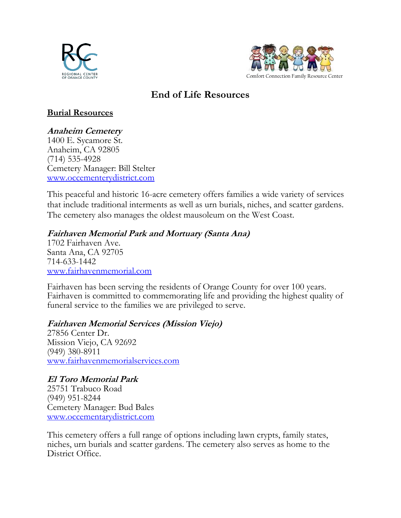



# **End of Life Resources**

## **Burial Resources**

## **Anaheim Cemetery**

1400 E. Sycamore St. Anaheim, CA 92805 (714) 535-4928 Cemetery Manager: Bill Stelter [www.occementerydistrict.com](http://www.occementerydistrict.com/)

This peaceful and historic 16-acre cemetery offers families a wide variety of services that include traditional interments as well as urn burials, niches, and scatter gardens. The cemetery also manages the oldest mausoleum on the West Coast.

## **Fairhaven Memorial Park and Mortuary (Santa Ana)**

1702 Fairhaven Ave. Santa Ana, CA 92705 714-633-1442 [www.fairhavenmemorial.com](http://www.fairhavenmemorial.com/)

Fairhaven has been serving the residents of Orange County for over 100 years. Fairhaven is committed to commemorating life and providing the highest quality of funeral service to the families we are privileged to serve.

## **Fairhaven Memorial Services (Mission Viejo)**

27856 Center Dr. Mission Viejo, CA 92692 (949) 380-8911 [www.fairhavenmemorialservices.com](http://www.fairhavenmemorialservices.com/)

## **El Toro Memorial Park**

25751 Trabuco Road (949) 951-8244 Cemetery Manager: Bud Bales [www.occementarydistrict.com](http://www.occementarydistrict.com/)

This cemetery offers a full range of options including lawn crypts, family states, niches, urn burials and scatter gardens. The cemetery also serves as home to the District Office.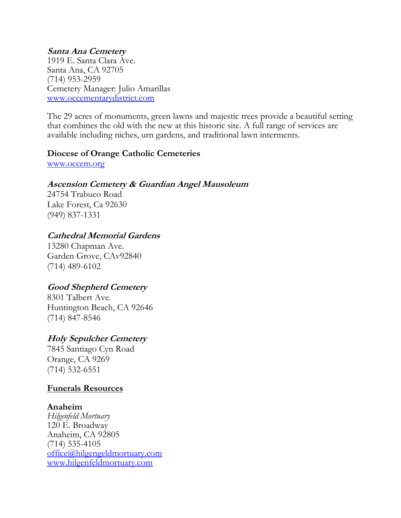## **Santa Ana Cemetery**

1919 E. Santa Clara Ave. Santa Ana, CA 92705 (714) 953-2959 Cemetery Manager: Julio Amarillas [www.occementarydistrict.com](http://www.occementarydistrict.com/)

The 29 acres of monuments, green lawns and majestic trees provide a beautiful setting that combines the old with the new at this historic site. A full range of services are available including niches, urn gardens, and traditional lawn interments.

#### **Diocese of Orange Catholic Cemeteries**

[www.occem.org](http://www.occem.org/)

### **Ascension Cemetery & Guardian Angel Mausoleum**

24754 Trabuco Road Lake Forest, Ca 92630 (949) 837-1331

### **Cathedral Memorial Gardens**

13280 Chapman Ave. Garden Grove, CAv92840 (714) 489-6102

## **Good Shepherd Cemetery**

8301 Talbert Ave. Huntington Beach, CA 92646 (714) 847-8546

## **Holy Sepulcher Cemetery**

7845 Santiago Cyn Road Orange, CA 9269 (714) 532-6551

#### **Funerals Resources**

#### **Anaheim**

*Hilgenfeld Mortuary* 120 E. Broadway Anaheim, CA 92805 (714) 535-4105 [office@hilgengeldmortuary.com](mailto:office@hilgengeldmortuary.com) [www.hilgenfeldmortuary.com](http://www.hilgenfeldmortuary.com/)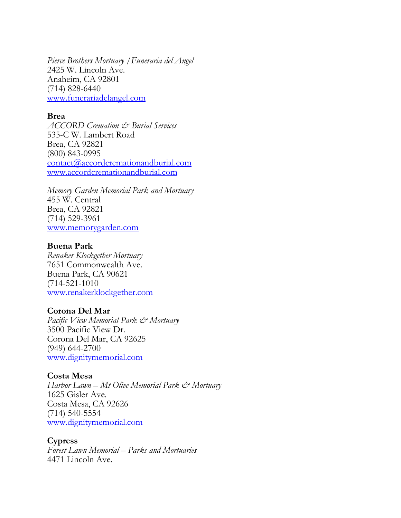*Pierce Brothers Mortuary /Funeraria del Angel*  2425 W. Lincoln Ave. Anaheim, CA 92801 (714) 828-6440 [www.funerariadelangel.com](http://www.funerariadelangel.com/)

#### **Brea**

*ACCORD Cremation & Burial Services* 535-C W. Lambert Road Brea, CA 92821 (800) 843-0995 [contact@accordcremationandburial.com](mailto:contact@accordcremationandburial.com) [www.accordcremationandburial.com](http://www.accordcremationandburial.com/)

*Memory Garden Memorial Park and Mortuary* 455 W. Central Brea, CA 92821 (714) 529-3961 [www.memorygarden.com](http://www.memorygarden.com/)

#### **Buena Park**

*Renaker Klockgether Mortuary* 7651 Commonwealth Ave. Buena Park, CA 90621 (714-521-1010 [www.renakerklockgether.com](http://www.renakerklockgether.com/)

#### **Corona Del Mar**

*Pacific View Memorial Park & Mortuary* 3500 Pacific View Dr. Corona Del Mar, CA 92625 (949) 644-2700 [www.dignitymemorial.com](http://www.dignitymemorial.com/)

#### **Costa Mesa**

*Harbor Lawn – Mt Olive Memorial Park & Mortuary* 1625 Gisler Ave. Costa Mesa, CA 92626 (714) 540-5554 [www.dignitymemorial.com](http://www.dignitymemorial.com/)

#### **Cypress**

*Forest Lawn Memorial – Parks and Mortuaries* 4471 Lincoln Ave.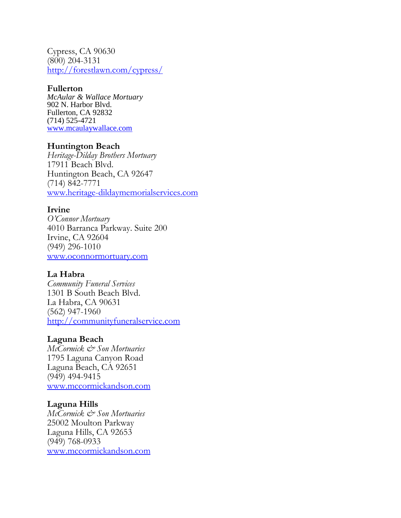Cypress, CA 90630 (800) 204-3131 <http://forestlawn.com/cypress/>

#### **Fullerton**

*McAular & Wallace Mortuary* 902 N. Harbor Blvd. Fullerton, CA 92832 (714) 525-4721 [www.mcaulaywallace.com](http://www.mcaulaywallace.com/)

#### **Huntington Beach**

*Heritage-Dilday Brothers Mortuary* 17911 Beach Blvd. Huntington Beach, CA 92647 (714) 842-7771 [www.heritage-dildaymemorialservices.com](http://www.heritage-dildaymemorialservices.com/)

#### **Irvine**

*O'Connor Mortuary* 4010 Barranca Parkway. Suite 200 Irvine, CA 92604 (949) 296-1010 [www.oconnormortuary.com](http://www.oconnormortuary.com/)

#### **La Habra**

*Community Funeral Services* 1301 B South Beach Blvd. La Habra, CA 90631 (562) 947-1960 [http://communityfuneralservice.com](http://communityfuneralservice.com/)

#### **Laguna Beach**

*McCormick & Son Mortuaries* 1795 Laguna Canyon Road Laguna Beach, CA 92651 (949) 494-9415 [www.mccormickandson.com](http://www.mccormickandson.com/)

#### **Laguna Hills**

*McCormick & Son Mortuaries* 25002 Moulton Parkway Laguna Hills, CA 92653 (949) 768-0933 [www.mccormickandson.com](http://www.mccormickandson.com/)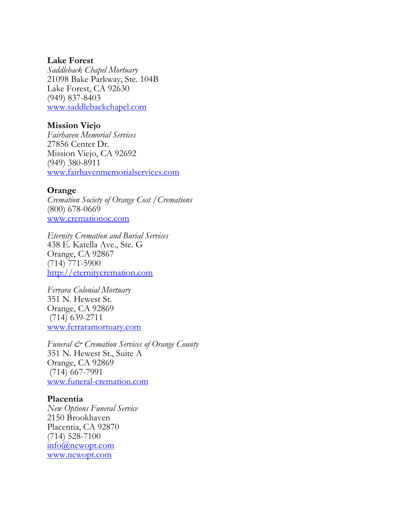#### **Lake Forest**

*Saddleback Chapel Mortuary* 21098 Bake Parkway, Ste. 104B Lake Forest, CA 92630 (949) 837-8403 [www.saddlebackchapel.com](http://www.saddlebackchapel.com/)

#### **Mission Viejo**

*Fairhaven Memorial Services* 27856 Center Dr. Mission Viejo, CA 92692 (949) 380-8911 [www.fairhavenmemorialservices.com](http://www.fairhavenmemorialservices.com/)

#### **Orange**

*Cremation Society of Orange Cost /Cremations* (800) 678-0669 [www.cremationoc.com](http://www.cremationoc.com/)

*Eternity Cremation and Burial Services* 438 E. Katella Ave., Ste. G Orange, CA 92867 (714) 771-5900 [http://eternitycremation.com](http://eternitycremation.com/)

*Ferrara Colonial Mortuary* 351 N. Hewest St. Orange, CA 92869 (714) 639-2711 [www.ferraramortuary.com](http://www.ferraramortuary.com/)

*Funeral & Cremation Services of Orange County* 351 N. Hewest St., Suite A Orange, CA 92869 (714) 667-7991 [www.funeral-cremation.com](http://www.funeral-cremation.com/)

#### **Placentia** *New Options Funeral Service* 2150 Brookhaven Placentia, CA 92870 (714) 528-7100 [info@newopt.com](mailto:info@newopt.com) [www.newopt.com](http://www.newopt.com/)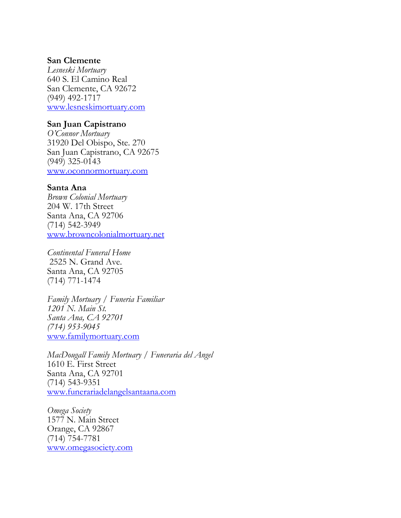#### **San Clemente**

*Lesneski Mortuary* 640 S. El Camino Real San Clemente, CA 92672 (949) 492-1717 [www.lesneskimortuary.com](http://www.lesneskimortuary.com/)

#### **San Juan Capistrano**

*O'Connor Mortuary* 31920 Del Obispo, Ste. 270 San Juan Capistrano, CA 92675 (949) 325-0143 [www.oconnormortuary.com](http://www.oconnormortuary.com/)

#### **Santa Ana**

*Brown Colonial Mortuary* 204 W. 17th Street Santa Ana, CA 92706 (714) 542-3949 [www.browncolonialmortuary.net](http://www.browncolonialmortuary.net/)

*Continental Funeral Home* 2525 N. Grand Ave. Santa Ana, CA 92705 (714) 771-1474

*Family Mortuary / Funeria Familiar 1201 N. Main St. Santa Ana, CA 92701 (714) 953-9045* [www.familymortuary.com](http://www.familymortuary.com/)

*MacDougall Family Mortuary / Funeraria del Angel* 1610 E. First Street Santa Ana, CA 92701 (714) 543-9351 [www.funerariadelangelsantaana.com](http://www.funerariadelangelsantaana.com/)

*Omega Society* 1577 N. Main Street Orange, CA 92867 (714) 754-7781 [www.omegasociety.com](http://www.omegasociety.com/)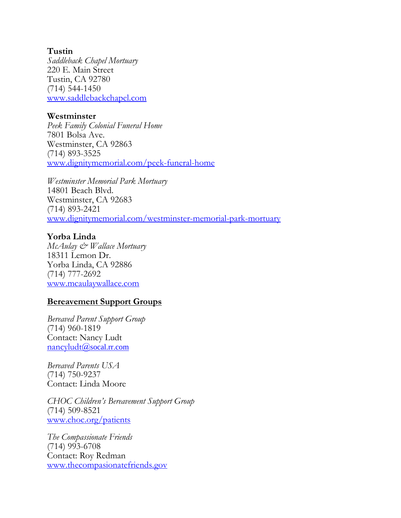#### **Tustin**

*Saddleback Chapel Mortuary* 220 E. Main Street Tustin, CA 92780 (714) 544-1450 [www.saddlebackchapel.com](http://www.saddlebackchapel.com/)

#### **Westminster**

*Peek Family Colonial Funeral Home* 7801 Bolsa Ave. Westminster, CA 92863 (714) 893-3525 [www.dignitymemorial.com/peek-funeral-home](http://www.dignitymemorial.com/peek-funeral-home)

*Westminster Memorial Park Mortuary* 14801 Beach Blvd. Westminster, CA 92683 (714) 893-2421 [www.dignitymemorial.com/westminster-memorial-park-mortuary](http://www.dignitymemorial.com/westminster-memorial-park-mortuary)

#### **Yorba Linda**

*McAulay & Wallace Mortuary* 18311 Lemon Dr. Yorba Linda, CA 92886 (714) 777-2692 [www.mcaulaywallace.com](http://www.mcaulaywallace.com/)

#### **Bereavement Support Groups**

*Bereaved Parent Support Group* (714) 960-1819 Contact: Nancy Ludt [nancyludt@](mailto:nancyludt@socal.rr.com)socal.rr.com

*Bereaved Parents USA* (714) 750-9237 Contact: Linda Moore

*CHOC Children's Bereavement Support Group* (714) 509-8521 [www.choc.org/patients](http://www.choc.org/patients)

*The Compassionate Friends* (714) 993-6708 Contact: Roy Redman [www.thecompasionatefriends.gov](http://www.thecompasionatefriends.gov/)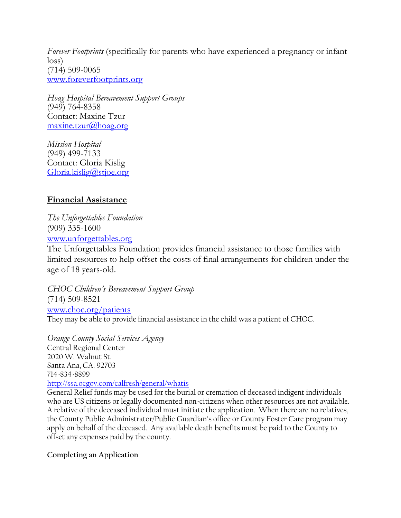*Forever Footprints* (specifically for parents who have experienced a pregnancy or infant loss) (714) 509-0065 [www.foreverfootprints.org](http://www.foreverfootprints.org/)

*Hoag Hospital Bereavement Support Groups* (949) 764-8358 Contact: Maxine Tzur [maxine.tzur@hoag.org](mailto:maxine.tzur@hoag.org)

*Mission Hospital* (949) 499-7133 Contact: Gloria Kislig [Gloria.kislig@stjoe.org](mailto:Gloria.kislig@stjoe.org)

## **Financial Assistance**

*The Unforgettables Foundation* (909) 335-1600 [www.unforgettables.org](http://www.unforgettables.org/)

The Unforgettables Foundation provides financial assistance to those families with limited resources to help offset the costs of final arrangements for children under the age of 18 years-old.

*CHOC Children's Bereavement Support Group* (714) 509-8521 [www.choc.org/patients](http://www.choc.org/patients)

They may be able to provide financial assistance in the child was a patient of CHOC.

*Orange County Social Services Agency* Central Regional Center 2020 W. Walnut St. Santa Ana, CA. 92703 714-834-8899 <http://ssa.ocgov.com/calfresh/general/whatis>

General Relief funds may be used for the burial or cremation of deceased indigent individuals who are US citizens or legally documented non-citizens when other resources are not available. A relative of the deceased individual must initiate the application. When there are no relatives, the County Public Administrator/Public Guardian's office or County Foster Care program may apply on behalf of the deceased. Any available death benefits must be paid to the County to offset any expenses paid by the county.

#### **Completing an Application**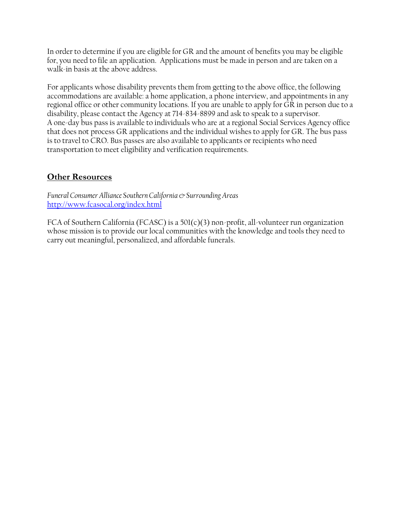In order to determine if you are eligible for GR and the amount of benefits you may be eligible for, you need to file an application. Applications must be made in person and are taken on a walk-in basis at the above address.

For applicants whose disability prevents them from getting to the above office, the following accommodations are available: a home application, a phone interview, and appointments in any regional office or other community locations. If you are unable to apply for GR in person due to a disability, please contact the Agency at 714-834-8899 and ask to speak to a supervisor. A one-day bus pass is available to individuals who are at a regional Social Services Agency office that does not process GR applications and the individual wishes to apply for GR. The bus pass is to travel to CRO. Bus passes are also available to applicants or recipients who need transportation to meet eligibility and verification requirements.

## **Other Resources**

*Funeral Consumer Alliance Southern California & Surrounding Areas* <http://www.fcasocal.org/index.html>

FCA of Southern California (FCASC) is a 501(c)(3) non-profit, all-volunteer run organization whose mission is to provide our local communities with the knowledge and tools they need to carry out meaningful, personalized, and affordable funerals.